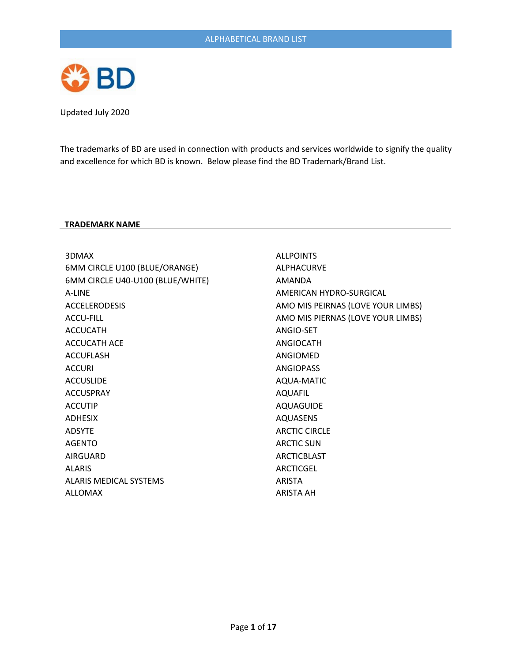

The trademarks of BD are used in connection with products and services worldwide to signify the quality and excellence for which BD is known. Below please find the BD Trademark/Brand List.

## **TRADEMARK NAME**

| 3DMAX                            | <b>ALLPOINTS</b>                  |
|----------------------------------|-----------------------------------|
| 6MM CIRCLE U100 (BLUE/ORANGE)    | <b>ALPHACURVE</b>                 |
| 6MM CIRCLE U40-U100 (BLUE/WHITE) | AMANDA                            |
| A-LINE                           | AMERICAN HYDRO-SURGICAL           |
| <b>ACCELERODESIS</b>             | AMO MIS PEIRNAS (LOVE YOUR LIMBS) |
| <b>ACCU-FILL</b>                 | AMO MIS PIERNAS (LOVE YOUR LIMBS) |
| <b>ACCUCATH</b>                  | ANGIO-SET                         |
| <b>ACCUCATH ACE</b>              | <b>ANGIOCATH</b>                  |
| <b>ACCUFLASH</b>                 | ANGIOMED                          |
| <b>ACCURI</b>                    | <b>ANGIOPASS</b>                  |
| <b>ACCUSLIDE</b>                 | AQUA-MATIC                        |
| <b>ACCUSPRAY</b>                 | AQUAFIL                           |
| <b>ACCUTIP</b>                   | AQUAGUIDE                         |
| <b>ADHESIX</b>                   | <b>AQUASENS</b>                   |
| <b>ADSYTE</b>                    | <b>ARCTIC CIRCLE</b>              |
| <b>AGENTO</b>                    | <b>ARCTIC SUN</b>                 |
| AIRGUARD                         | <b>ARCTICBLAST</b>                |
| <b>ALARIS</b>                    | ARCTICGEL                         |
| ALARIS MEDICAL SYSTEMS           | <b>ARISTA</b>                     |
| ALLOMAX                          | ARISTA AH                         |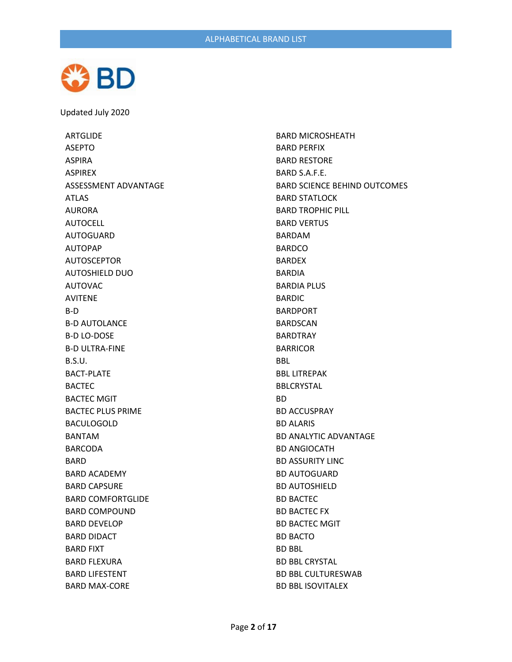

ARTGLIDE ASEPTO ASPIRA ASPIREX ASSESSMENT ADVANTAGE ATLAS AURORA AUTOCELL AUTOGUARD AUTOPAP AUTOSCEPTOR AUTOSHIELD DUO AUTOVAC AVITENE B-D B-D AUTOLANCE B-D LO-DOSE B-D ULTRA-FINE B.S.U. BACT-PLATE BACTEC BACTEC MGIT BACTEC PLUS PRIME BACULOGOLD BANTAM BARCODA BARD BARD ACADEMY BARD CAPSURE BARD COMFORTGLIDE BARD COMPOUND BARD DEVELOP BARD DIDACT BARD FIXT BARD FLEXURA BARD LIFESTENT BARD MAX-CORE

BARD MICROSHEATH BARD PERFIX BARD RESTORE BARD S.A.F.E. BARD SCIENCE BEHIND OUTCOMES BARD STATLOCK BARD TROPHIC PILL BARD VERTUS BARDAM BARDCO BARDEX BARDIA BARDIA PLUS BARDIC BARDPORT BARDSCAN BARDTRAY BARRICOR BBL BBL LITREPAK BBLCRYSTAL BD BD ACCUSPRAY BD ALARIS BD ANALYTIC ADVANTAGE BD ANGIOCATH BD ASSURITY LINC BD AUTOGUARD BD AUTOSHIELD BD BACTEC BD BACTEC FX BD BACTEC MGIT BD BACTO BD BBL BD BBL CRYSTAL BD BBL CULTURESWAB BD BBL ISOVITALEX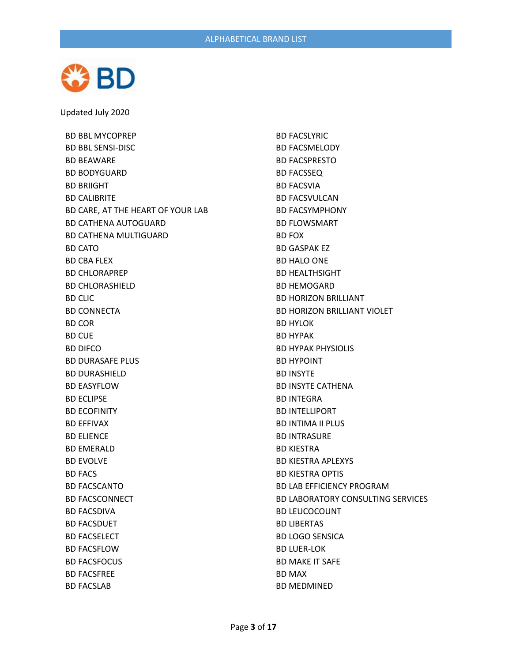

BD BBL MYCOPREP BD BBL SENSI-DISC BD BEAWARE BD BODYGUARD BD BRIIGHT BD CALIBRITE BD CARE, AT THE HEART OF YOUR LAB BD CATHENA AUTOGUARD BD CATHENA MULTIGUARD BD CATO BD CBA FLEX BD CHLORAPREP BD CHLORASHIELD BD CLIC BD CONNECTA BD COR BD CUE BD DIFCO BD DURASAFE PLUS BD DURASHIELD BD EASYFLOW BD ECLIPSE BD ECOFINITY BD EFFIVAX BD ELIENCE BD EMERALD BD EVOLVE BD FACS BD FACSCANTO BD FACSCONNECT BD FACSDIVA BD FACSDUET BD FACSELECT BD FACSFLOW BD FACSFOCUS BD FACSFREE BD FACSLAB

BD FACSLYRIC BD FACSMELODY BD FACSPRESTO BD FACSSEQ BD FACSVIA BD FACSVULCAN BD FACSYMPHONY BD FLOWSMART BD FOX BD GASPAK EZ BD HALO ONE BD HEALTHSIGHT BD HEMOGARD BD HORIZON BRILLIANT BD HORIZON BRILLIANT VIOLET BD HYLOK BD HYPAK BD HYPAK PHYSIOLIS BD HYPOINT BD INSYTE BD INSYTE CATHENA BD INTEGRA BD INTELLIPORT BD INTIMA II PLUS BD INTRASURE BD KIESTRA BD KIESTRA APLEXYS BD KIESTRA OPTIS BD LAB EFFICIENCY PROGRAM BD LABORATORY CONSULTING SERVICES BD LEUCOCOUNT BD LIBERTAS BD LOGO SENSICA BD LUER-LOK BD MAKE IT SAFE BD MAX BD MEDMINED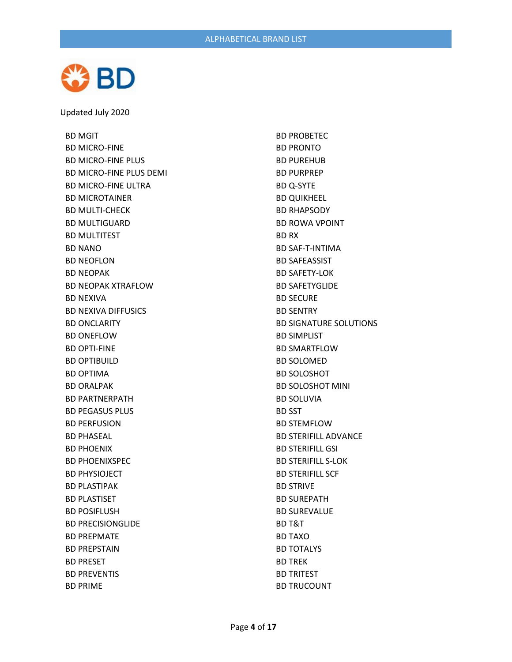

BD MGIT BD MICRO-FINE BD MICRO-FINE PLUS BD MICRO-FINE PLUS DEMI BD MICRO-FINE ULTRA BD MICROTAINER BD MULTI-CHECK BD MULTIGUARD BD MULTITEST BD NANO BD NEOFLON BD NEOPAK BD NEOPAK XTRAFLOW BD NEXIVA BD NEXIVA DIFFUSICS BD ONCLARITY BD ONEFLOW BD OPTI-FINE BD OPTIBUILD BD OPTIMA BD ORALPAK BD PARTNERPATH BD PEGASUS PLUS BD PERFUSION BD PHASEAL BD PHOENIX BD PHOENIXSPEC BD PHYSIOJECT BD PLASTIPAK BD PLASTISET BD POSIFLUSH BD PRECISIONGLIDE BD PREPMATE BD PREPSTAIN BD PRESET BD PREVENTIS BD PRIME

BD PROBETEC BD PRONTO BD PUREHUB BD PURPREP BD Q-SYTE BD QUIKHEEL BD RHAPSODY BD ROWA VPOINT BD RX BD SAF-T-INTIMA BD SAFEASSIST BD SAFETY-LOK BD SAFETYGLIDE BD SECURE BD SENTRY BD SIGNATURE SOLUTIONS BD SIMPLIST BD SMARTFLOW BD SOLOMED BD SOLOSHOT BD SOLOSHOT MINI BD SOLUVIA BD SST BD STEMFLOW BD STERIFILL ADVANCE BD STERIFILL GSI BD STERIFILL S-LOK BD STERIFILL SCF BD STRIVE BD SUREPATH BD SUREVALUE BD T&T BD TAXO BD TOTALYS BD TREK BD TRITEST BD TRUCOUNT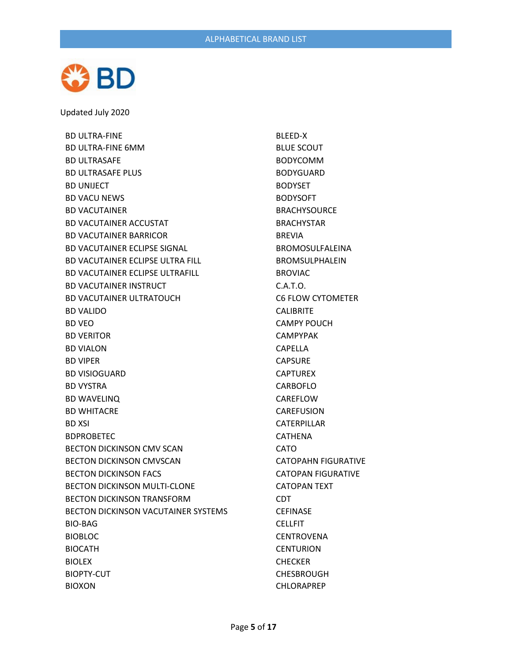

BD ULTRA-FINE BD ULTRA-FINE 6MM BD ULTRASAFE BD ULTRASAFE PLUS BD UNIJECT BD VACU NEWS BD VACUTAINER BD VACUTAINER ACCUSTAT BD VACUTAINER BARRICOR BD VACUTAINER ECLIPSE SIGNAL BD VACUTAINER ECLIPSE ULTRA FILL BD VACUTAINER ECLIPSE ULTRAFILL BD VACUTAINER INSTRUCT BD VACUTAINER ULTRATOUCH BD VALIDO BD VEO BD VERITOR BD VIALON BD VIPER BD VISIOGUARD BD VYSTRA BD WAVELINQ BD WHITACRE BD XSI BDPROBETEC BECTON DICKINSON CMV SCAN BECTON DICKINSON CMVSCAN BECTON DICKINSON FACS BECTON DICKINSON MULTI-CLONE BECTON DICKINSON TRANSFORM BECTON DICKINSON VACUTAINER SYSTEMS BIO-BAG BIOBLOC BIOCATH BIOLEX BIOPTY-CUT BIOXON

BLEED-X BLUE SCOUT BODYCOMM BODYGUARD BODYSET BODYSOFT BRACHYSOURCE BRACHYSTAR BREVIA BROMOSULFALEINA BROMSULPHALEIN BROVIAC C.A.T.O. C6 FLOW CYTOMETER **CALIBRITE** CAMPY POUCH CAMPYPAK CAPELLA CAPSURE CAPTUREX CARBOFLO CAREFLOW CAREFUSION CATERPILLAR CATHENA CATO CATOPAHN FIGURATIVE CATOPAN FIGURATIVE CATOPAN TEXT CDT CEFINASE **CELLFIT CENTROVENA CENTURION CHECKER CHESBROUGH** CHLORAPREP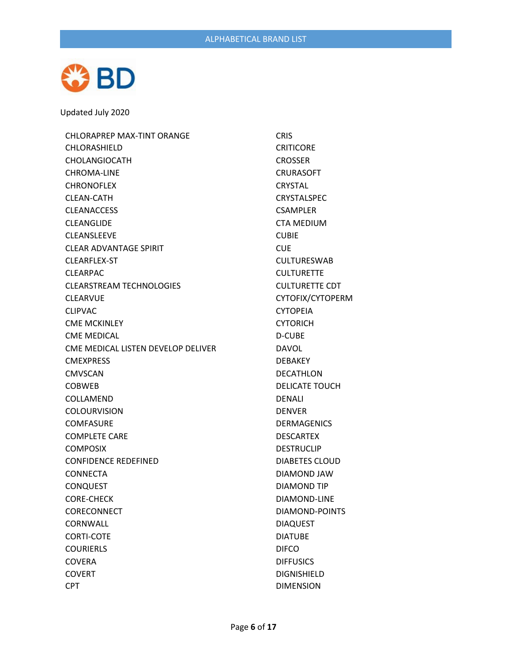

CHLORAPREP MAX-TINT ORANGE CHLORASHIELD CHOLANGIOCATH CHROMA-LINE **CHRONOFLEX** CLEAN-CATH CLEANACCESS CLEANGLIDE CLEANSLEEVE CLEAR ADVANTAGE SPIRIT CLEARFLEX-ST CLEARPAC CLEARSTREAM TECHNOLOGIES CLEARVUE CLIPVAC CME MCKINLEY CME MEDICAL CME MEDICAL LISTEN DEVELOP DELIVER CMEXPRESS CMVSCAN COBWEB COLLAMEND COLOURVISION **COMFASURE** COMPLETE CARE COMPOSIX CONFIDENCE REDEFINED CONNECTA **CONQUEST** CORE-CHECK CORECONNECT CORNWALL CORTI-COTE COURIERLS COVERA COVERT CPT

**CRIS CRITICORE** CROSSER CRURASOFT **CRYSTAL** CRYSTALSPEC CSAMPLER CTA MEDIUM CUBIE CUE CULTURESWAB **CULTURETTE** CULTURETTE CDT CYTOFIX/CYTOPERM CYTOPEIA CYTORICH D-CUBE DAVOL DEBAKEY DECATHLON DELICATE TOUCH DENALI DENVER DERMAGENICS DESCARTEX DESTRUCLIP DIABETES CLOUD DIAMOND JAW DIAMOND TIP DIAMOND-LINE DIAMOND-POINTS DIAQUEST DIATUBE DIFCO **DIFFUSICS** DIGNISHIELD DIMENSION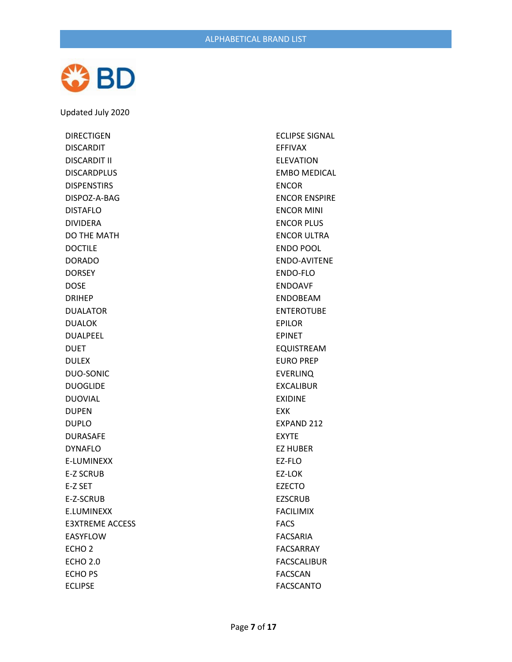

DIRECTIGEN DISCARDIT DISCARDIT II DISCARDPLUS DISPENSTIRS DISPOZ-A-BAG DISTAFLO DIVIDERA DO THE MATH DOCTILE DORADO DORSEY DOSE DRIHEP DUALATOR DUALOK DUALPEEL DUET DULEX DUO-SONIC DUOGLIDE DUOVIAL DUPEN DUPLO DURASAFE DYNAFLO E-LUMINEXX E-Z SCRUB E-Z SET E-Z-SCRUB E.LUMINEXX E3XTREME ACCESS EASYFLOW ECHO 2 ECHO 2.0 ECHO PS ECLIPSE

ECLIPSE SIGNAL EFFIVAX ELEVATION EMBO MEDICAL ENCOR ENCOR ENSPIRE ENCOR MINI ENCOR PLUS ENCOR ULTRA ENDO POOL ENDO-AVITENE ENDO-FLO ENDOAVF ENDOBEAM ENTEROTUBE EPILOR EPINET EQUISTREAM EURO PREP EVERLINQ EXCALIBUR EXIDINE EXK EXPAND 212 EXYTE EZ HUBER EZ-FLO EZ-LOK EZECTO **EZSCRUB** FACILIMIX FACS FACSARIA FACSARRAY FACSCALIBUR FACSCAN FACSCANTO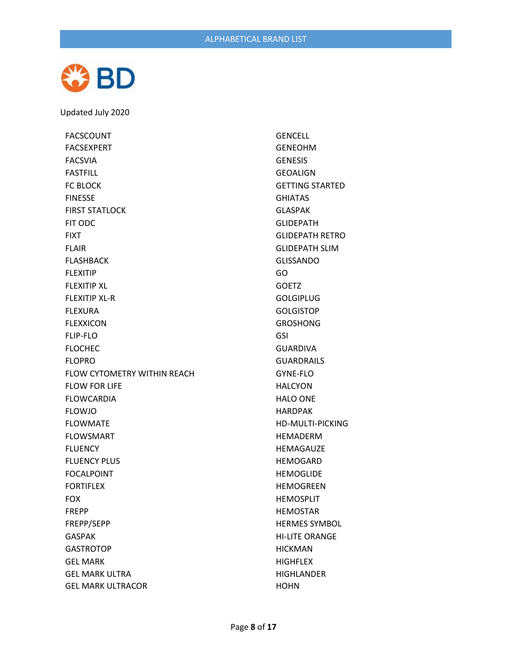

FACSCOUNT FACSEXPERT FACSVIA FASTFILL FC BLOCK FINESSE FIRST STATLOCK FIT ODC FIXT FLAIR FLASHBACK FLEXITIP FLEXITIP XL FLEXITIP XL-R FLEXURA FLEXXICON FLIP-FLO FLOCHEC FLOPRO FLOW CYTOMETRY WITHIN REACH FLOW FOR LIFE FLOWCARDIA FLOWJO FLOWMATE FLOWSMART FLUENCY FLUENCY PLUS FOCALPOINT FORTIFLEX FOX FREPP FREPP/SEPP GASPAK **GASTROTOP** GEL MARK GEL MARK ULTRA GEL MARK ULTRACOR

GENCELL GENEOHM GENESIS GEOALIGN GETTING STARTED GHIATAS GLASPAK GLIDEPATH GLIDEPATH RETRO GLIDEPATH SLIM GLISSANDO GO GOETZ GOLGIPLUG **GOLGISTOP** GROSHONG GSI GUARDIVA GUARDRAILS GYNE-FLO HALCYON HALO ONE HARDPAK HD-MULTI-PICKING HEMADERM HEMAGAUZE HEMOGARD HEMOGLIDE HEMOGREEN HEMOSPLIT HEMOSTAR HERMES SYMBOL HI-LITE ORANGE HICKMAN **HIGHFLEX HIGHLANDER** HOHN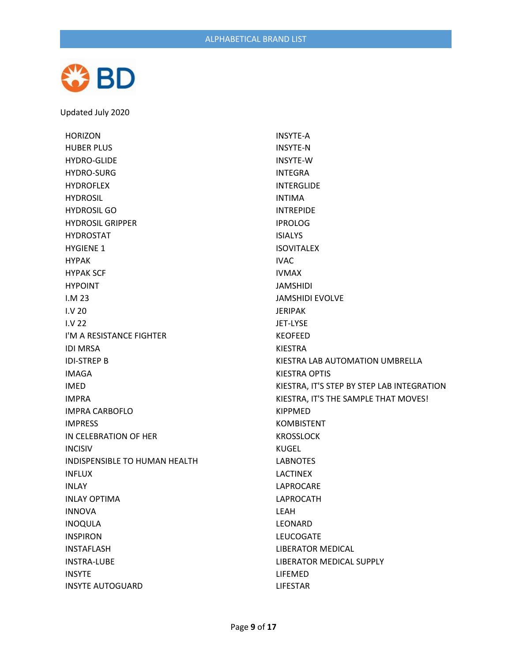

HORIZON HUBER PLUS HYDRO-GLIDE HYDRO-SURG HYDROFLEX HYDROSIL HYDROSIL GO HYDROSIL GRIPPER HYDROSTAT HYGIENE 1 HYPAK HYPAK SCF HYPOINT I.M 23 I.V 20 I.V 22 I'M A RESISTANCE FIGHTER IDI MRSA IDI-STREP B IMAGA IMED IMPRA IMPRA CARBOFLO IMPRESS IN CELEBRATION OF HER INCISIV INDISPENSIBLE TO HUMAN HEALTH INFLUX INLAY INLAY OPTIMA INNOVA INOQULA INSPIRON INSTAFLASH INSTRA-LUBE INSYTE INSYTE AUTOGUARD

INSYTE-A INSYTE-N INSYTE-W INTEGRA INTERGLIDE INTIMA INTREPIDE IPROLOG ISIALYS ISOVITALEX IVAC IVMAX JAMSHIDI JAMSHIDI EVOLVE JERIPAK JET-LYSE KEOFEED KIESTRA KIESTRA LAB AUTOMATION UMBRELLA KIESTRA OPTIS KIESTRA, IT'S STEP BY STEP LAB INTEGRATION KIESTRA, IT'S THE SAMPLE THAT MOVES! KIPPMED KOMBISTENT KROSSLOCK KUGEL LABNOTES LACTINEX LAPROCARE LAPROCATH LEAH LEONARD LEUCOGATE LIBERATOR MEDICAL LIBERATOR MEDICAL SUPPLY LIFEMED LIFESTAR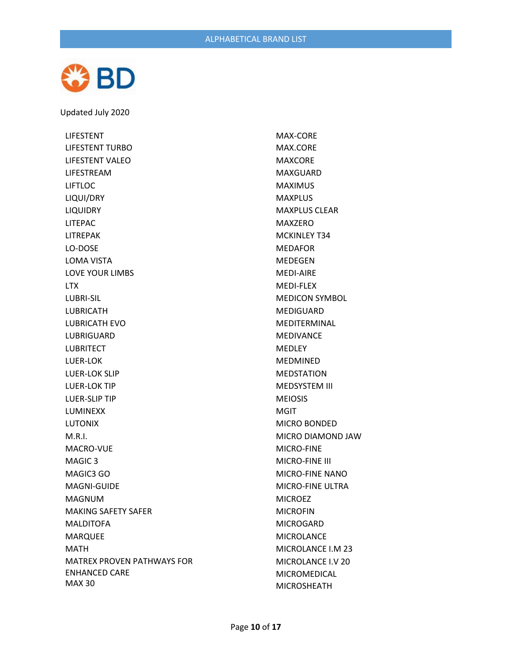

LIFESTENT LIFESTENT TURBO LIFESTENT VALEO LIFESTREAM LIFTLOC LIQUI/DRY LIQUIDRY LITEPAC LITREPAK LO-DOSE LOMA VISTA LOVE YOUR LIMBS LTX LUBRI-SIL LUBRICATH LUBRICATH EVO LUBRIGUARD LUBRITECT LUER-LOK LUER-LOK SLIP LUER-LOK TIP LUER-SLIP TIP LUMINEXX LUTONIX M.R.I. MACRO-VUE MAGIC 3 MAGIC3 GO MAGNI-GUIDE MAGNUM MAKING SAFETY SAFER MALDITOFA MARQUEE MATH MATREX PROVEN PATHWAYS FOR ENHANCED CARE MAX 30

MAX-CORE MAX.CORE MAXCORE MAXGUARD MAXIMUS MAXPLUS MAXPLUS CLEAR MAXZERO MCKINLEY T34 MEDAFOR MEDEGEN MEDI-AIRE MEDI-FLEX MEDICON SYMBOL MEDIGUARD MEDITERMINAL MEDIVANCE MEDLEY MEDMINED MEDSTATION MEDSYSTEM III MEIOSIS MGIT MICRO BONDED MICRO DIAMOND JAW MICRO-FINE MICRO-FINE III MICRO-FINE NANO MICRO-FINE ULTRA MICROEZ MICROFIN MICROGARD MICROLANCE MICROLANCE I.M 23 MICROLANCE I.V 20 MICROMEDICAL MICROSHEATH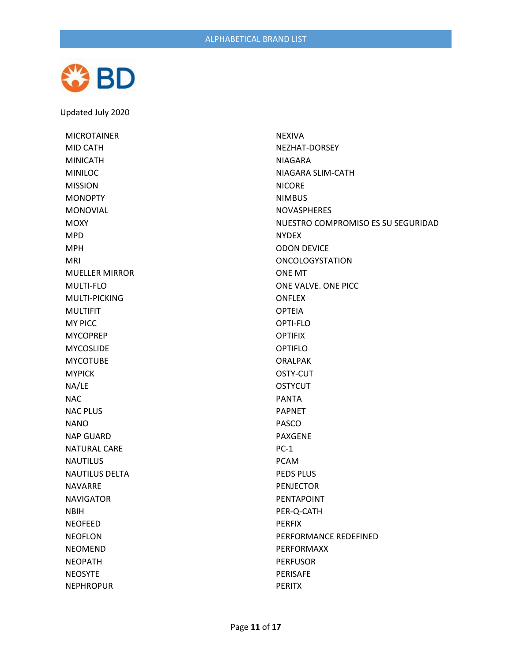

MICROTAINER MID CATH MINICATH MINILOC MISSION **MONOPTY** MONOVIAL **MOXY** MPD MPH MRI MUELLER MIRROR MULTI-FLO MULTI-PICKING MULTIFIT MY PICC MYCOPREP MYCOSLIDE MYCOTUBE MYPICK NA/LE NAC NAC PLUS NANO NAP GUARD NATURAL CARE **NAUTILUS** NAUTILUS DELTA NAVARRE NAVIGATOR NBIH NEOFEED NEOFLON NEOMEND NEOPATH NEOSYTE NEPHROPUR

NEXIVA NEZHAT-DORSEY NIAGARA NIAGARA SLIM-CATH NICORE NIMBUS NOVASPHERES NUESTRO COMPROMISO ES SU SEGURIDAD NYDEX ODON DEVICE ONCOLOGYSTATION ONE MT ONE VALVE. ONE PICC ONFLEX OPTEIA OPTI-FLO OPTIFIX OPTIFLO ORALPAK OSTY-CUT **OSTYCUT** PANTA PAPNET PASCO PAXGENE PC-1 PCAM PEDS PLUS PENJECTOR PENTAPOINT PER-Q-CATH PERFIX PERFORMANCE REDEFINED PERFORMAXX PERFUSOR PERISAFE PERITX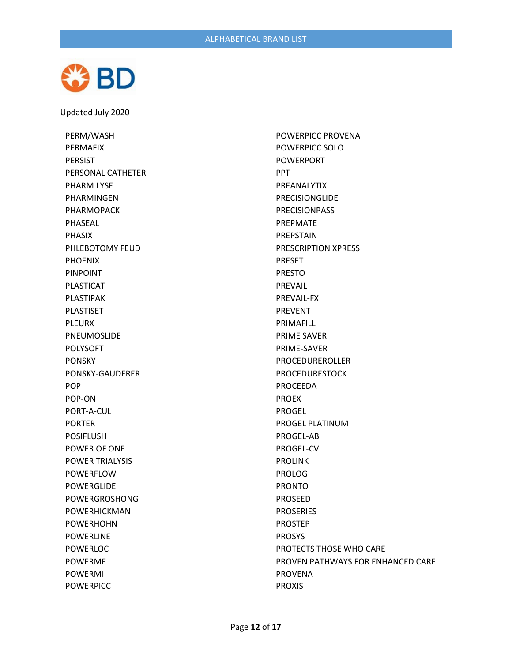

PERM/WASH PERMAFIX PERSIST PERSONAL CATHETER PHARM LYSE PHARMINGEN PHARMOPACK PHASEAL PHASIX PHLEBOTOMY FEUD PHOENIX PINPOINT PLASTICAT PLASTIPAK PLASTISET PLEURX PNEUMOSLIDE POLYSOFT PONSKY PONSKY-GAUDERER POP POP-ON PORT-A-CUL PORTER POSIFLUSH POWER OF ONE POWER TRIALYSIS POWERFLOW POWERGLIDE POWERGROSHONG POWERHICKMAN POWERHOHN POWERLINE POWERLOC POWERME POWERMI POWERPICC

POWERPICC PROVENA POWERPICC SOLO POWERPORT PPT PREANALYTIX PRECISIONGLIDE PRECISIONPASS PREPMATE PREPSTAIN PRESCRIPTION XPRESS PRESET PRESTO PREVAIL PREVAIL-FX PREVENT PRIMAFILL PRIME SAVER PRIME-SAVER PROCEDUREROLLER PROCEDURESTOCK PROCEEDA PROEX PROGEL PROGEL PLATINUM PROGEL-AB PROGEL-CV PROLINK PROLOG PRONTO PROSEED PROSERIES PROSTEP PROSYS PROTECTS THOSE WHO CARE PROVEN PATHWAYS FOR ENHANCED CARE PROVENA PROXIS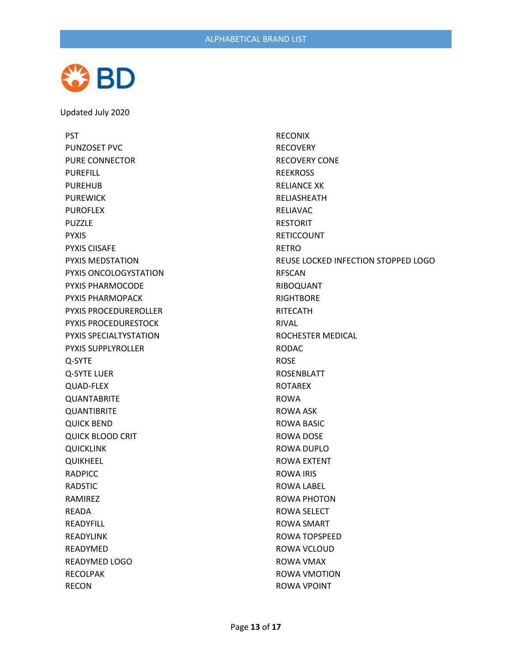

PST PUNZOSET PVC PURE CONNECTOR PUREFILL PUREHUB PUREWICK PUROFLEX PUZZLE PYXIS PYXIS CIISAFE PYXIS MEDSTATION PYXIS ONCOLOGYSTATION PYXIS PHARMOCODE PYXIS PHARMOPACK PYXIS PROCEDUREROLLER PYXIS PROCEDURESTOCK PYXIS SPECIALTYSTATION PYXIS SUPPLYROLLER Q-SYTE Q-SYTE LUER QUAD-FLEX QUANTABRITE QUANTIBRITE QUICK BEND QUICK BLOOD CRIT QUICKLINK QUIKHEEL RADPICC RADSTIC RAMIREZ READA READYFILL READYLINK READYMED READYMED LOGO RECOLPAK RECON

RECONIX RECOVERY RECOVERY CONE REEKROSS RELIANCE XK RELIASHEATH RELIAVAC RESTORIT RETICCOUNT RETRO REUSE LOCKED INFECTION STOPPED LOGO RFSCAN RIBOQUANT **RIGHTBORE** RITECATH RIVAL ROCHESTER MEDICAL RODAC ROSE ROSENBLATT ROTAREX ROWA ROWA ASK ROWA BASIC ROWA DOSE ROWA DUPLO ROWA EXTENT ROWA IRIS ROWA LABEL ROWA PHOTON ROWA SELECT ROWA SMART ROWA TOPSPEED ROWA VCLOUD ROWA VMAX ROWA VMOTION ROWA VPOINT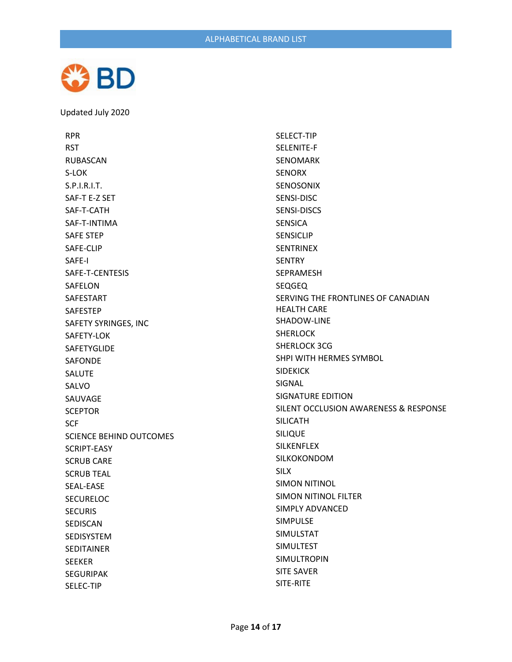

RPR RST RUBASCAN S-LOK S.P.I.R.I.T. SAF-T E-Z SET SAF-T-CATH SAF-T-INTIMA SAFE STEP SAFE-CLIP SAFE-I SAFE-T-CENTESIS SAFELON SAFESTART SAFESTEP SAFETY SYRINGES, INC SAFETY-LOK SAFETYGLIDE SAFONDE SALUTE SALVO SAUVAGE **SCEPTOR** SCF SCIENCE BEHIND OUTCOMES SCRIPT-EASY SCRUB CARE SCRUB TEAL SEAL-EASE **SECURELOC** SECURIS SEDISCAN SEDISYSTEM SEDITAINER SEEKER SEGURIPAK SELEC-TIP

SELECT-TIP SELENITE-F SENOMARK SENORX SENOSONIX SENSI-DISC SENSI-DISCS SENSICA SENSICLIP SENTRINEX **SENTRY** SEPRAMESH SEQGEQ SERVING THE FRONTLINES OF CANADIAN HEALTH CARE SHADOW-LINE SHERLOCK SHERLOCK 3CG SHPI WITH HERMES SYMBOL SIDEKICK SIGNAL SIGNATURE EDITION SILENT OCCLUSION AWARENESS & RESPONSE SILICATH SILIQUE SILKENFLEX SILKOKONDOM SILX SIMON NITINOL SIMON NITINOL FILTER SIMPLY ADVANCED SIMPULSE SIMULSTAT SIMULTEST SIMULTROPIN SITE SAVER SITE-RITE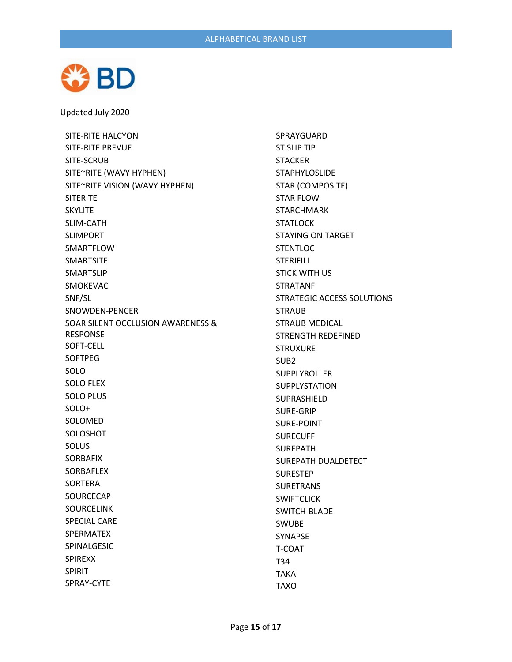

SITE-RITE HALCYON SITE-RITE PREVUE SITE-SCRUB SITE~RITE (WAVY HYPHEN) SITE~RITE VISION (WAVY HYPHEN) SITERITE SKYLITE SLIM-CATH SLIMPORT SMARTFLOW SMARTSITE SMARTSLIP SMOKEVAC SNF/SL SNOWDEN-PENCER SOAR SILENT OCCLUSION AWARENESS & RESPONSE SOFT-CELL SOFTPEG SOLO SOLO FLEX SOLO PLUS SOLO+ SOLOMED SOLOSHOT SOLUS SORBAFIX SORBAFLEX SORTERA SOURCECAP SOURCELINK SPECIAL CARE SPERMATEX SPINALGESIC SPIREXX SPIRIT SPRAY-CYTE

SPRAYGUARD ST SLIP TIP STACKER STAPHYLOSLIDE STAR (COMPOSITE) STAR FLOW STARCHMARK **STATLOCK** STAYING ON TARGET STENTLOC STERIFILL STICK WITH US STRATANF STRATEGIC ACCESS SOLUTIONS **STRAUB** STRAUB MEDICAL STRENGTH REDEFINED STRUXURE SUB2 SUPPLYROLLER SUPPLYSTATION SUPRASHIELD SURE-GRIP SURE-POINT SURECUFF SUREPATH SUREPATH DUALDETECT SURESTEP SURETRANS **SWIFTCLICK** SWITCH-BLADE SWUBE SYNAPSE T-COAT T34 TAKA TAXO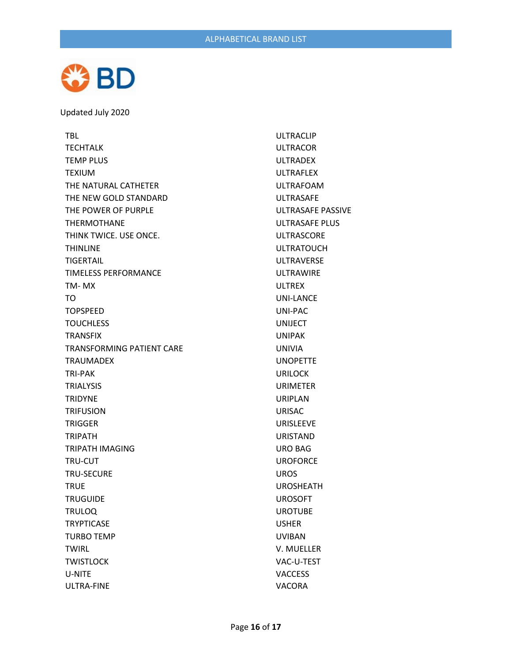

TBL TECHTALK TEMP PLUS TEXIUM THE NATURAL CATHETER THE NEW GOLD STANDARD THE POWER OF PURPLE THERMOTHANE THINK TWICE. USE ONCE. THINLINE TIGERTAIL TIMELESS PERFORMANCE TM- MX TO TOPSPEED **TOUCHLESS** TRANSFIX TRANSFORMING PATIENT CARE TRAUMADEX TRI-PAK TRIALYSIS TRIDYNE TRIFUSION TRIGGER TRIPATH TRIPATH IMAGING TRU-CUT TRU-SECURE **TRUE TRUGUIDE** TRULOQ **TRYPTICASE** TURBO TEMP TWIRL **TWISTLOCK** U-NITE ULTRA-FINE

ULTRACLIP ULTRACOR ULTRADEX ULTRAFLEX ULTRAFOAM ULTRASAFE ULTRASAFE PASSIVE ULTRASAFE PLUS ULTRASCORE ULTRATOUCH ULTRAVERSE ULTRAWIRE ULTREX UNI-LANCE UNI-PAC UNIJECT UNIPAK UNIVIA UNOPETTE URILOCK URIMETER URIPLAN URISAC URISLEEVE URISTAND URO BAG UROFORCE UROS UROSHEATH UROSOFT UROTUBE USHER UVIBAN V. MUELLER VAC-U-TEST VACCESS VACORA